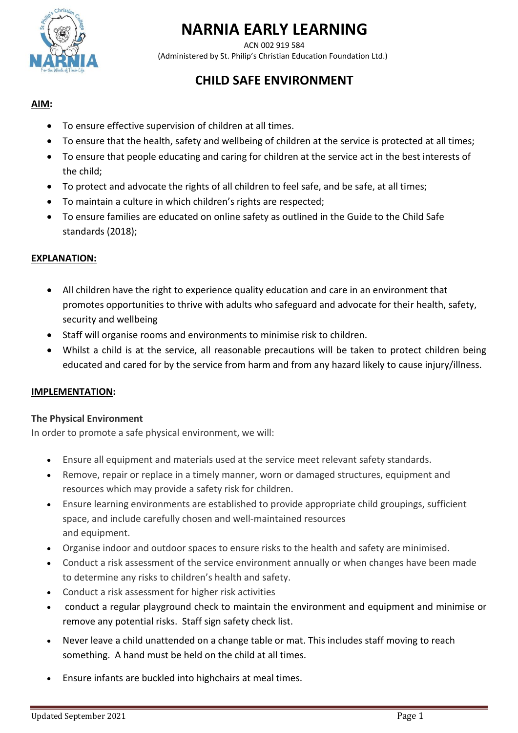

# **NARNIA EARLY LEARNING**

ACN 002 919 584 (Administered by St. Philip's Christian Education Foundation Ltd.)

# **CHILD SAFE ENVIRONMENT**

# **AIM:**

- To ensure effective supervision of children at all times.
- To ensure that the health, safety and wellbeing of children at the service is protected at all times;
- To ensure that people educating and caring for children at the service act in the best interests of the child;
- To protect and advocate the rights of all children to feel safe, and be safe, at all times;
- To maintain a culture in which children's rights are respected;
- To ensure families are educated on online safety as outlined in the Guide to the Child Safe standards (2018);

## **EXPLANATION:**

- All children have the right to experience quality education and care in an environment that promotes opportunities to thrive with adults who safeguard and advocate for their health, safety, security and wellbeing
- Staff will organise rooms and environments to minimise risk to children.
- Whilst a child is at the service, all reasonable precautions will be taken to protect children being educated and cared for by the service from harm and from any hazard likely to cause injury/illness.

#### **IMPLEMENTATION:**

#### **The Physical Environment**

In order to promote a safe physical environment, we will:

- Ensure all equipment and materials used at the service meet relevant safety standards.
- Remove, repair or replace in a timely manner, worn or damaged structures, equipment and resources which may provide a safety risk for children.
- Ensure learning environments are established to provide appropriate child groupings, sufficient space, and include carefully chosen and well-maintained resources and equipment.
- Organise indoor and outdoor spaces to ensure risks to the health and safety are minimised.
- Conduct a risk assessment of the service environment annually or when changes have been made to determine any risks to children's health and safety.
- Conduct a risk assessment for higher risk activities
- conduct a regular playground check to maintain the environment and equipment and minimise or remove any potential risks. Staff sign safety check list.
- Never leave a child unattended on a change table or mat. This includes staff moving to reach something. A hand must be held on the child at all times.
- Ensure infants are buckled into highchairs at meal times.